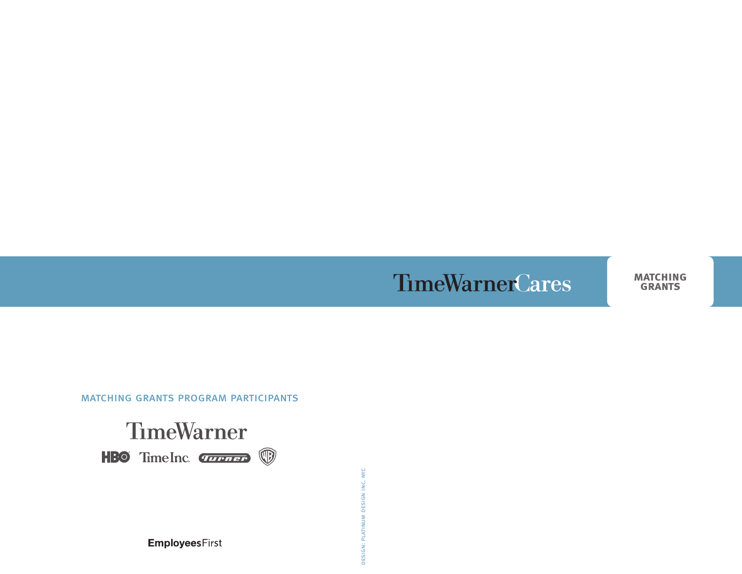# **TimeWarnerCares MATCHING**

matching grants program participants



DESIGN: PLATINUM DESIGN INC. NYC design: platinum design inc. nyc

**EmployeesFirst**